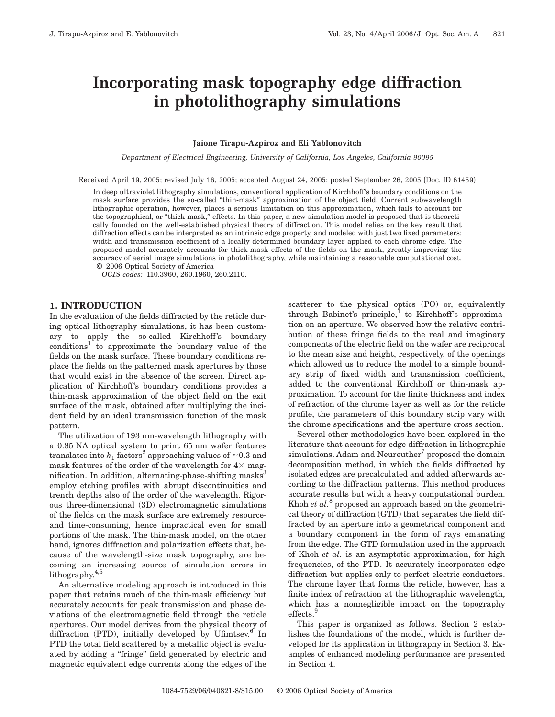# **Incorporating mask topography edge diffraction in photolithography simulations**

### **Jaione Tirapu-Azpiroz and Eli Yablonovitch**

*Department of Electrical Engineering, University of California, Los Angeles, California 90095*

Received April 19, 2005; revised July 16, 2005; accepted August 24, 2005; posted September 26, 2005 (Doc. ID 61459)

In deep ultraviolet lithography simulations, conventional application of Kirchhoff's boundary conditions on the mask surface provides the so-called "thin-mask" approximation of the object field. Current subwavelength lithographic operation, however, places a serious limitation on this approximation, which fails to account for the topographical, or "thick-mask," effects. In this paper, a new simulation model is proposed that is theoretically founded on the well-established physical theory of diffraction. This model relies on the key result that diffraction effects can be interpreted as an intrinsic edge property, and modeled with just two fixed parameters: width and transmission coefficient of a locally determined boundary layer applied to each chrome edge. The proposed model accurately accounts for thick-mask effects of the fields on the mask, greatly improving the accuracy of aerial image simulations in photolithography, while maintaining a reasonable computational cost. © 2006 Optical Society of America

*OCIS codes:* 110.3960, 260.1960, 260.2110.

## **1. INTRODUCTION**

In the evaluation of the fields diffracted by the reticle during optical lithography simulations, it has been customary to apply the so-called Kirchhoff's boundary  $conditions<sup>1</sup>$  to approximate the boundary value of the fields on the mask surface. These boundary conditions replace the fields on the patterned mask apertures by those that would exist in the absence of the screen. Direct application of Kirchhoff's boundary conditions provides a thin-mask approximation of the object field on the exit surface of the mask, obtained after multiplying the incident field by an ideal transmission function of the mask pattern.

The utilization of 193 nm-wavelength lithography with a 0.85 NA optical system to print 65 nm wafer features translates into  $k_1$  factors<sup>2</sup> approaching values of  $\approx 0.3$  and mask features of the order of the wavelength for  $4\times$  magnification. In addition, alternating-phase-shifting masks<sup>3</sup> employ etching profiles with abrupt discontinuities and trench depths also of the order of the wavelength. Rigorous three-dimensional (3D) electromagnetic simulations of the fields on the mask surface are extremely resourceand time-consuming, hence impractical even for small portions of the mask. The thin-mask model, on the other hand, ignores diffraction and polarization effects that, because of the wavelength-size mask topography, are becoming an increasing source of simulation errors in lithography.<sup>4,5</sup>

An alternative modeling approach is introduced in this paper that retains much of the thin-mask efficiency but accurately accounts for peak transmission and phase deviations of the electromagnetic field through the reticle apertures. Our model derives from the physical theory of diffraction (PTD), initially developed by Ufimtsev. $6$  In PTD the total field scattered by a metallic object is evaluated by adding a "fringe" field generated by electric and magnetic equivalent edge currents along the edges of the

scatterer to the physical optics (PO) or, equivalently through Babinet's principle, $\overline{1}$  to Kirchhoff's approximation on an aperture. We observed how the relative contribution of these fringe fields to the real and imaginary components of the electric field on the wafer are reciprocal to the mean size and height, respectively, of the openings which allowed us to reduce the model to a simple boundary strip of fixed width and transmission coefficient, added to the conventional Kirchhoff or thin-mask approximation. To account for the finite thickness and index of refraction of the chrome layer as well as for the reticle profile, the parameters of this boundary strip vary with the chrome specifications and the aperture cross section.

Several other methodologies have been explored in the literature that account for edge diffraction in lithographic simulations. Adam and Neureuther<sup>7</sup> proposed the domain decomposition method, in which the fields diffracted by isolated edges are precalculated and added afterwards according to the diffraction patterns. This method produces accurate results but with a heavy computational burden. Khoh *et al.*<sup>8</sup> proposed an approach based on the geometrical theory of diffraction (GTD) that separates the field diffracted by an aperture into a geometrical component and a boundary component in the form of rays emanating from the edge. The GTD formulation used in the approach of Khoh *et al.* is an asymptotic approximation, for high frequencies, of the PTD. It accurately incorporates edge diffraction but applies only to perfect electric conductors. The chrome layer that forms the reticle, however, has a finite index of refraction at the lithographic wavelength, which has a nonnegligible impact on the topography effects.<sup>9</sup>

This paper is organized as follows. Section 2 establishes the foundations of the model, which is further developed for its application in lithography in Section 3. Examples of enhanced modeling performance are presented in Section 4.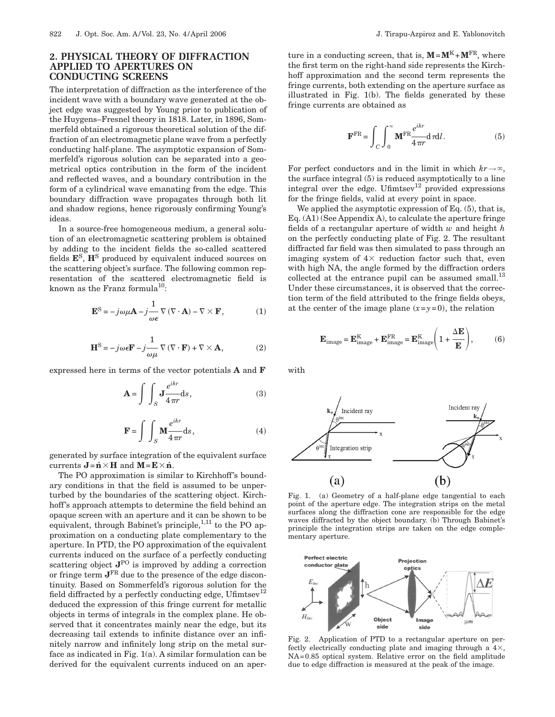# **2. PHYSICAL THEORY OF DIFFRACTION APPLIED TO APERTURES ON CONDUCTING SCREENS**

The interpretation of diffraction as the interference of the incident wave with a boundary wave generated at the object edge was suggested by Young prior to publication of the Huygens–Fresnel theory in 1818. Later, in 1896, Sommerfeld obtained a rigorous theoretical solution of the diffraction of an electromagnetic plane wave from a perfectly conducting half-plane. The asymptotic expansion of Sommerfeld's rigorous solution can be separated into a geometrical optics contribution in the form of the incident and reflected waves, and a boundary contribution in the form of a cylindrical wave emanating from the edge. This boundary diffraction wave propagates through both lit and shadow regions, hence rigorously confirming Young's ideas.

In a source-free homogeneous medium, a general solution of an electromagnetic scattering problem is obtained by adding to the incident fields the so-called scattered fields **E**S, **H**<sup>S</sup> produced by equivalent induced sources on the scattering object's surface. The following common representation of the scattered electromagnetic field is known as the Franz formula<sup>10</sup>:

$$
\mathbf{E}^{\mathbf{S}} = -j\omega\mu\mathbf{A} - j\frac{1}{\omega\epsilon}\nabla(\nabla\cdot\mathbf{A}) - \nabla\times\mathbf{F},
$$
 (1)

$$
\mathbf{H}^{\mathrm{S}} = -j\omega\epsilon\mathbf{F} - j\frac{1}{\omega\mu}\nabla(\nabla\cdot\mathbf{F}) + \nabla\times\mathbf{A},\tag{2}
$$

expressed here in terms of the vector potentials **A** and **F**

$$
\mathbf{A} = \int \int_{S} \mathbf{J} \frac{e^{ikr}}{4\pi r} \mathrm{d}s, \tag{3}
$$

$$
\mathbf{F} = \int \int_{S} \mathbf{M} \frac{e^{ikr}}{4\pi r} \mathrm{d}s, \qquad (4)
$$

generated by surface integration of the equivalent surface currents  $\mathbf{J} = \hat{\mathbf{n}} \times \mathbf{H}$  and  $\mathbf{M} = \mathbf{E} \times \hat{\mathbf{n}}$ .

The PO approximation is similar to Kirchhoff's boundary conditions in that the field is assumed to be unperturbed by the boundaries of the scattering object. Kirchhoff's approach attempts to determine the field behind an opaque screen with an aperture and it can be shown to be equivalent, through Babinet's principle,<sup>1,11</sup> to the PO approximation on a conducting plate complementary to the aperture. In PTD, the PO approximation of the equivalent currents induced on the surface of a perfectly conducting scattering object **J**PO is improved by adding a correction or fringe term **J**FR due to the presence of the edge discontinuity. Based on Sommerfeld's rigorous solution for the field diffracted by a perfectly conducting edge,  $U$ fimtsev $^{12}$ deduced the expression of this fringe current for metallic objects in terms of integrals in the complex plane. He observed that it concentrates mainly near the edge, but its decreasing tail extends to infinite distance over an infinitely narrow and infinitely long strip on the metal surface as indicated in Fig. 1(a). A similar formulation can be derived for the equivalent currents induced on an aperture in a conducting screen, that is,  $M = M^K + M^{FR}$ , where the first term on the right-hand side represents the Kirchhoff approximation and the second term represents the fringe currents, both extending on the aperture surface as illustrated in Fig. 1(b). The fields generated by these fringe currents are obtained as

$$
\mathbf{F}^{\text{FR}} = \int_C \int_0^\infty \mathbf{M}^{\text{FR}} \frac{e^{ikr}}{4\pi r} d\,\pi dl. \tag{5}
$$

For perfect conductors and in the limit in which  $kr \rightarrow \infty$ , the surface integral (5) is reduced asymptotically to a line integral over the edge. Ufimtsev<sup>12</sup> provided expressions for the fringe fields, valid at every point in space.

We applied the asymptotic expression of Eq.  $(5)$ , that is, Eq. (A1) (See Appendix A), to calculate the aperture fringe fields of a rectangular aperture of width *w* and height *h* on the perfectly conducting plate of Fig. 2. The resultant diffracted far field was then simulated to pass through an imaging system of  $4 \times$  reduction factor such that, even with high NA, the angle formed by the diffraction orders collected at the entrance pupil can be assumed small. $^{13}$ Under these circumstances, it is observed that the correction term of the field attributed to the fringe fields obeys, at the center of the image plane  $(x=y=0)$ , the relation

$$
\mathbf{E}_{\text{image}} = \mathbf{E}_{\text{image}}^{\text{K}} + \mathbf{E}_{\text{image}}^{\text{FR}} = \mathbf{E}_{\text{image}}^{\text{K}} \left( 1 + \frac{\Delta \mathbf{E}}{\mathbf{E}} \right),
$$
 (6)

with



Fig. 1. (a) Geometry of a half-plane edge tangential to each point of the aperture edge. The integration strips on the metal surfaces along the diffraction cone are responsible for the edge waves diffracted by the object boundary. (b) Through Babinet's principle the integration strips are taken on the edge complementary aperture.



Fig. 2. Application of PTD to a rectangular aperture on perfectly electrically conducting plate and imaging through a  $4\times$ , NA=0.85 optical system. Relative error on the field amplitude due to edge diffraction is measured at the peak of the image.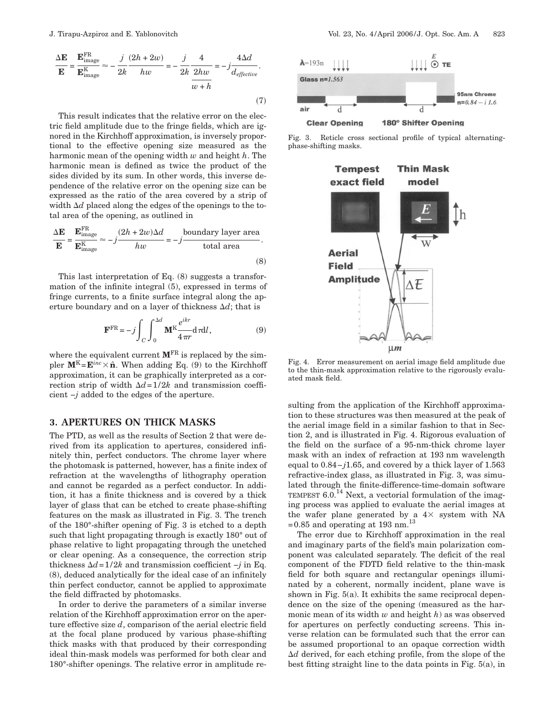$$
\frac{\Delta E}{E} = \frac{E_{\text{image}}^{\text{FR}}}{E_{\text{image}}^{\text{K}}} \approx -\frac{j}{2k} \frac{(2h + 2w)}{hw} = -\frac{j}{2k} \frac{4}{2hw} = -j \frac{4\Delta d}{d_{effective}}.
$$
\n(7)

This result indicates that the relative error on the electric field amplitude due to the fringe fields, which are ignored in the Kirchhoff approximation, is inversely proportional to the effective opening size measured as the harmonic mean of the opening width *w* and height *h*. The harmonic mean is defined as twice the product of the sides divided by its sum. In other words, this inverse dependence of the relative error on the opening size can be expressed as the ratio of the area covered by a strip of width  $\Delta d$  placed along the edges of the openings to the total area of the opening, as outlined in

$$
\frac{\Delta E}{E} = \frac{E_{\text{image}}^{\text{FR}}}{E_{\text{image}}^{\text{K}}} \approx -j \frac{(2h + 2w)\Delta d}{hw} = -j \frac{\text{boundary layer area}}{\text{total area}}.
$$
\n(8)

This last interpretation of Eq. (8) suggests a transformation of the infinite integral (5), expressed in terms of fringe currents, to a finite surface integral along the aperture boundary and on a layer of thickness  $\Delta d$ ; that is

$$
\mathbf{F}^{\text{FR}} = -j \int_C \int_0^{\Delta d} \mathbf{M}^{\text{K}} \frac{e^{ikr}}{4\pi r} d\tau d\tau, \tag{9}
$$

where the equivalent current  $M<sup>FR</sup>$  is replaced by the simpler  $\mathbf{M}^K = \mathbf{E}^{inc} \times \hat{\mathbf{n}}$ . When adding Eq. (9) to the Kirchhoff approximation, it can be graphically interpreted as a correction strip of width  $\Delta d=1/2k$  and transmission coefficient −*j* added to the edges of the aperture.

# **3. APERTURES ON THICK MASKS**

The PTD, as well as the results of Section 2 that were derived from its application to apertures, considered infinitely thin, perfect conductors. The chrome layer where the photomask is patterned, however, has a finite index of refraction at the wavelengths of lithography operation and cannot be regarded as a perfect conductor. In addition, it has a finite thickness and is covered by a thick layer of glass that can be etched to create phase-shifting features on the mask as illustrated in Fig. 3. The trench of the 180°-shifter opening of Fig. 3 is etched to a depth such that light propagating through is exactly 180° out of phase relative to light propagating through the unetched or clear opening. As a consequence, the correction strip thickness  $\Delta d=1/2k$  and transmission coefficient  $-j$  in Eq. (8), deduced analytically for the ideal case of an infinitely thin perfect conductor, cannot be applied to approximate the field diffracted by photomasks.

In order to derive the parameters of a similar inverse relation of the Kirchhoff approximation error on the aperture effective size *d*, comparison of the aerial electric field at the focal plane produced by various phase-shifting thick masks with that produced by their corresponding ideal thin-mask models was performed for both clear and 180°-shifter openings. The relative error in amplitude re-



Fig. 3. Reticle cross sectional profile of typical alternatingphase-shifting masks.



Fig. 4. Error measurement on aerial image field amplitude due to the thin-mask approximation relative to the rigorously evaluated mask field.

sulting from the application of the Kirchhoff approximation to these structures was then measured at the peak of the aerial image field in a similar fashion to that in Section 2, and is illustrated in Fig. 4. Rigorous evaluation of the field on the surface of a 95-nm-thick chrome layer mask with an index of refraction at 193 nm wavelength equal to 0.84−*j*1.65, and covered by a thick layer of 1.563 refractive-index glass, as illustrated in Fig. 3, was simulated through the finite-difference-time-domain software TEMPEST  $6.0<sup>14</sup>$  Next, a vectorial formulation of the imaging process was applied to evaluate the aerial images at the wafer plane generated by a  $4\times$  system with NA =0.85 and operating at 193 nm. $^{13}$ 

The error due to Kirchhoff approximation in the real and imaginary parts of the field's main polarization component was calculated separately. The deficit of the real component of the FDTD field relative to the thin-mask field for both square and rectangular openings illuminated by a coherent, normally incident, plane wave is shown in Fig. 5(a). It exhibits the same reciprocal dependence on the size of the opening (measured as the harmonic mean of its width *w* and height *h*) as was observed for apertures on perfectly conducting screens. This inverse relation can be formulated such that the error can be assumed proportional to an opaque correction width  $\Delta d$  derived, for each etching profile, from the slope of the best fitting straight line to the data points in Fig. 5(a), in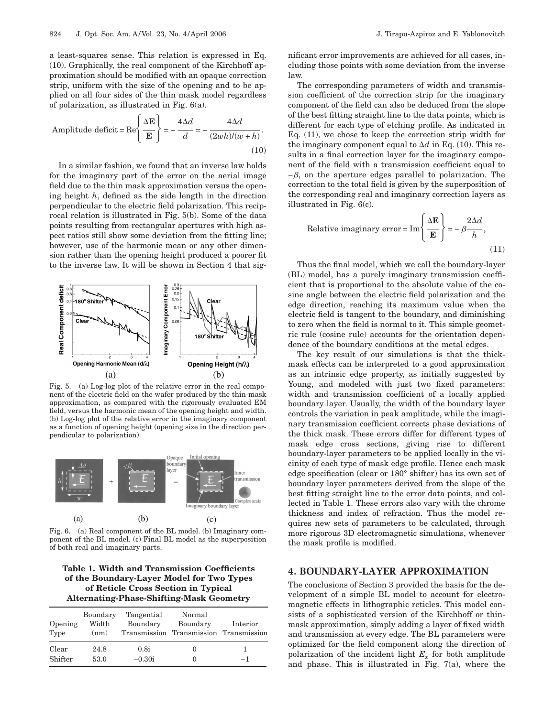a least-squares sense. This relation is expressed in Eq. (10). Graphically, the real component of the Kirchhoff approximation should be modified with an opaque correction strip, uniform with the size of the opening and to be applied on all four sides of the thin mask model regardless of polarization, as illustrated in Fig. 6(a).

Amplitude deficit = Re
$$
\left\{\frac{\Delta \mathbf{E}}{\mathbf{E}}\right\}
$$
 =  $-\frac{4\Delta d}{d} = -\frac{4\Delta d}{(2wh)/(w+h)}$ . (10)

In a similar fashion, we found that an inverse law holds for the imaginary part of the error on the aerial image field due to the thin mask approximation versus the opening height *h*, defined as the side length in the direction perpendicular to the electric field polarization. This reciprocal relation is illustrated in Fig. 5(b). Some of the data points resulting from rectangular apertures with high aspect ratios still show some deviation from the fitting line; however, use of the harmonic mean or any other dimension rather than the opening height produced a poorer fit to the inverse law. It will be shown in Section 4 that sig-



Fig. 5. (a) Log-log plot of the relative error in the real component of the electric field on the wafer produced by the thin-mask approximation, as compared with the rigorously evaluated EM field, versus the harmonic mean of the opening height and width. (b) Log-log plot of the relative error in the imaginary component as a function of opening height (opening size in the direction perpendicular to polarization).



Fig. 6. (a) Real component of the BL model. (b) Imaginary component of the BL model. (c) Final BL model as the superposition of both real and imaginary parts.

## **Table 1. Width and Transmission Coefficients of the Boundary-Layer Model for Two Types of Reticle Cross Section in Typical Alternating-Phase-Shifting-Mask Geometry**

| Opening<br>Type | Boundary<br>Width<br>(nm) | Tangential<br>Boundary | Normal<br>Boundary<br>Transmission Transmission Transmission | Interior |
|-----------------|---------------------------|------------------------|--------------------------------------------------------------|----------|
| Clear           | 24.8                      | 0.8i                   |                                                              |          |
| Shifter         | 53.0                      | $-0.30i$               |                                                              | -1       |

nificant error improvements are achieved for all cases, including those points with some deviation from the inverse law.

The corresponding parameters of width and transmission coefficient of the correction strip for the imaginary component of the field can also be deduced from the slope of the best fitting straight line to the data points, which is different for each type of etching profile. As indicated in Eq. (11), we chose to keep the correction strip width for the imaginary component equal to  $\Delta d$  in Eq. (10). This results in a final correction layer for the imaginary component of the field with a transmission coefficient equal to  $-\beta$ , on the aperture edges parallel to polarization. The correction to the total field is given by the superposition of the corresponding real and imaginary correction layers as illustrated in Fig. 6(c).

Relative imaginary error = Im
$$
\left\{\frac{\Delta \mathbf{E}}{\mathbf{E}}\right\}
$$
 =  $-\beta \frac{2\Delta d}{h}$ , (11)

Thus the final model, which we call the boundary-layer (BL) model, has a purely imaginary transmission coefficient that is proportional to the absolute value of the cosine angle between the electric field polarization and the edge direction, reaching its maximum value when the electric field is tangent to the boundary, and diminishing to zero when the field is normal to it. This simple geometric rule (cosine rule) accounts for the orientation dependence of the boundary conditions at the metal edges.

The key result of our simulations is that the thickmask effects can be interpreted to a good approximation as an intrinsic edge property, as initially suggested by Young, and modeled with just two fixed parameters: width and transmission coefficient of a locally applied boundary layer. Usually, the width of the boundary layer controls the variation in peak amplitude, while the imaginary transmission coefficient corrects phase deviations of the thick mask. These errors differ for different types of mask edge cross sections, giving rise to different boundary-layer parameters to be applied locally in the vicinity of each type of mask edge profile. Hence each mask edge specification (clear or 180° shifter) has its own set of boundary layer parameters derived from the slope of the best fitting straight line to the error data points, and collected in Table 1. These errors also vary with the chrome thickness and index of refraction. Thus the model requires new sets of parameters to be calculated, through more rigorous 3D electromagnetic simulations, whenever the mask profile is modified.

# **4. BOUNDARY-LAYER APPROXIMATION**

The conclusions of Section 3 provided the basis for the development of a simple BL model to account for electromagnetic effects in lithographic reticles. This model consists of a sophisticated version of the Kirchhoff or thinmask approximation, simply adding a layer of fixed width and transmission at every edge. The BL parameters were optimized for the field component along the direction of polarization of the incident light  $E_r$  for both amplitude and phase. This is illustrated in Fig. 7(a), where the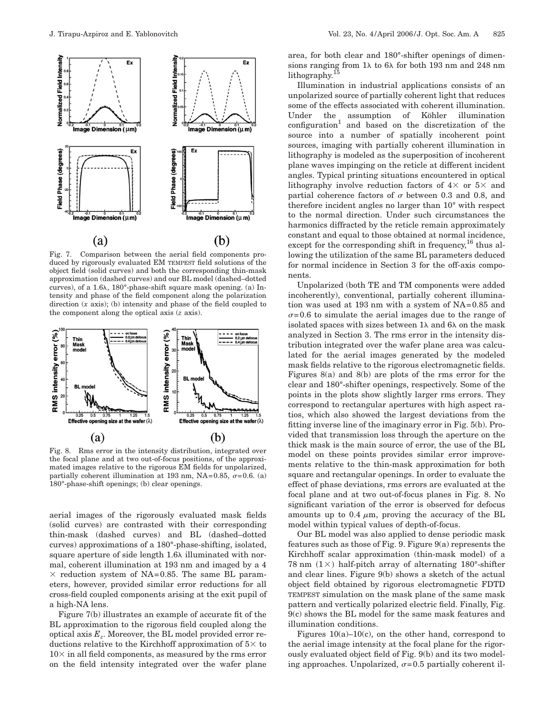

Fig. 7. Comparison between the aerial field components produced by rigorously evaluated EM TEMPEST field solutions of the object field (solid curves) and both the corresponding thin-mask approximation (dashed curves) and our BL model (dashed–dotted curves), of a 1.6 , 180°-phase-shift square mask opening. (a) Intensity and phase of the field component along the polarization direction (*x* axis); (b) intensity and phase of the field coupled to the component along the optical axis (*z* axis).



Fig. 8. Rms error in the intensity distribution, integrated over the focal plane and at two out-of-focus positions, of the approximated images relative to the rigorous EM fields for unpolarized, partially coherent illumination at 193 nm, NA=0.85,  $\sigma$ =0.6. (a) 180°-phase-shift openings; (b) clear openings.

aerial images of the rigorously evaluated mask fields (solid curves) are contrasted with their corresponding thin-mask (dashed curves) and BL (dashed–dotted curves) approximations of a 180°-phase-shifting, isolated, square aperture of side length 1.6 $\lambda$  illuminated with normal, coherent illumination at 193 nm and imaged by a 4  $\times$  reduction system of NA=0.85. The same BL parameters, however, provided similar error reductions for all cross-field coupled components arising at the exit pupil of a high-NA lens.

Figure 7(b) illustrates an example of accurate fit of the BL approximation to the rigorous field coupled along the optical axis  $E_z$ . Moreover, the BL model provided error reductions relative to the Kirchhoff approximation of  $5\times$  to  $10\times$  in all field components, as measured by the rms error on the field intensity integrated over the wafer plane

area, for both clear and 180°-shifter openings of dimensions ranging from  $1\lambda$  to  $6\lambda$  for both 193 nm and 248 nm lithography. $15$ 

Illumination in industrial applications consists of an unpolarized source of partially coherent light that reduces some of the effects associated with coherent illumination. Under the assumption of Köhler illumination  $\text{configuration}^{1}$  and based on the discretization of the source into a number of spatially incoherent point sources, imaging with partially coherent illumination in lithography is modeled as the superposition of incoherent plane waves impinging on the reticle at different incident angles. Typical printing situations encountered in optical lithography involve reduction factors of  $4 \times$  or  $5 \times$  and partial coherence factors of  $\sigma$  between 0.3 and 0.8, and therefore incident angles no larger than 10° with respect to the normal direction. Under such circumstances the harmonics diffracted by the reticle remain approximately constant and equal to those obtained at normal incidence, except for the corresponding shift in frequency,  $^{16}$  thus allowing the utilization of the same BL parameters deduced for normal incidence in Section 3 for the off-axis components.

Unpolarized (both TE and TM components were added incoherently), conventional, partially coherent illumination was used at 193 nm with a system of NA=0.85 and  $\sigma$ =0.6 to simulate the aerial images due to the range of isolated spaces with sizes between  $1\lambda$  and  $6\lambda$  on the mask analyzed in Section 3. The rms error in the intensity distribution integrated over the wafer plane area was calculated for the aerial images generated by the modeled mask fields relative to the rigorous electromagnetic fields. Figures 8(a) and 8(b) are plots of the rms error for the clear and 180°-shifter openings, respectively. Some of the points in the plots show slightly larger rms errors. They correspond to rectangular apertures with high aspect ratios, which also showed the largest deviations from the fitting inverse line of the imaginary error in Fig. 5(b). Provided that transmission loss through the aperture on the thick mask is the main source of error, the use of the BL model on these points provides similar error improvements relative to the thin-mask approximation for both square and rectangular openings. In order to evaluate the effect of phase deviations, rms errors are evaluated at the focal plane and at two out-of-focus planes in Fig. 8. No significant variation of the error is observed for defocus amounts up to 0.4  $\mu$ m, proving the accuracy of the BL model within typical values of depth-of-focus.

Our BL model was also applied to dense periodic mask features such as those of Fig. 9. Figure 9(a) represents the Kirchhoff scalar approximation (thin-mask model) of a 78 nm  $(1 \times)$  half-pitch array of alternating 180°-shifter and clear lines. Figure 9(b) shows a sketch of the actual object field obtained by rigorous electromagnetic FDTD TEMPEST simulation on the mask plane of the same mask pattern and vertically polarized electric field. Finally, Fig. 9(c) shows the BL model for the same mask features and illumination conditions.

Figures  $10(a)-10(c)$ , on the other hand, correspond to the aerial image intensity at the focal plane for the rigorously evaluated object field of Fig. 9(b) and its two modeling approaches. Unpolarized,  $\sigma$ =0.5 partially coherent il-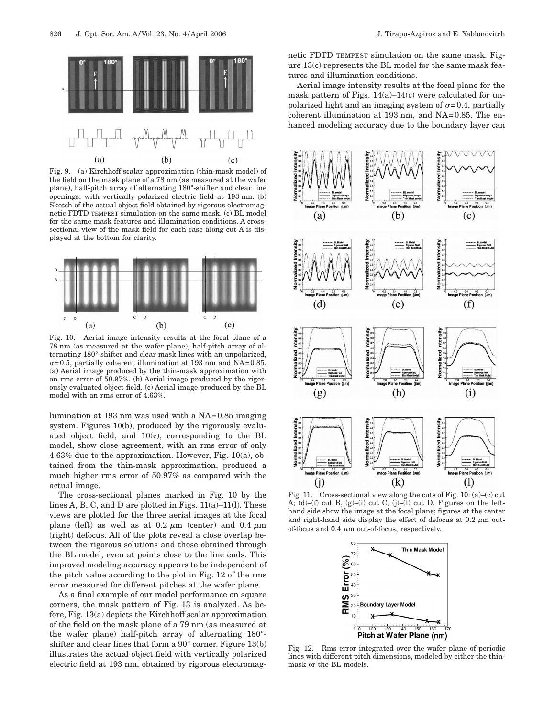

Fig. 9. (a) Kirchhoff scalar approximation (thin-mask model) of the field on the mask plane of a 78 nm (as measured at the wafer plane), half-pitch array of alternating 180°-shifter and clear line openings, with vertically polarized electric field at 193 nm. (b) Sketch of the actual object field obtained by rigorous electromagnetic FDTD TEMPEST simulation on the same mask. (c) BL model for the same mask features and illumination conditions. A crosssectional view of the mask field for each case along cut A is displayed at the bottom for clarity.



Fig. 10. Aerial image intensity results at the focal plane of a 78 nm (as measured at the wafer plane), half-pitch array of alternating 180°-shifter and clear mask lines with an unpolarized,  $\sigma$ =0.5, partially coherent illumination at 193 nm and NA=0.85. (a) Aerial image produced by the thin-mask approximation with an rms error of 50.97%. (b) Aerial image produced by the rigorously evaluated object field. (c) Aerial image produced by the BL model with an rms error of 4.63%.

lumination at 193 nm was used with a NA=0.85 imaging system. Figures 10(b), produced by the rigorously evaluated object field, and 10(c), corresponding to the BL model, show close agreement, with an rms error of only 4.63% due to the approximation. However, Fig. 10(a), obtained from the thin-mask approximation, produced a much higher rms error of 50.97% as compared with the actual image.

The cross-sectional planes marked in Fig. 10 by the lines A, B, C, and D are plotted in Figs.  $11(a)-11(1)$ . These views are plotted for the three aerial images at the focal plane (left) as well as at  $0.2 \mu m$  (center) and  $0.4 \mu m$ (right) defocus. All of the plots reveal a close overlap between the rigorous solutions and those obtained through the BL model, even at points close to the line ends. This improved modeling accuracy appears to be independent of the pitch value according to the plot in Fig. 12 of the rms error measured for different pitches at the wafer plane.

As a final example of our model performance on square corners, the mask pattern of Fig. 13 is analyzed. As before, Fig. 13(a) depicts the Kirchhoff scalar approximation of the field on the mask plane of a 79 nm (as measured at the wafer plane) half-pitch array of alternating 180° shifter and clear lines that form a 90° corner. Figure 13(b) illustrates the actual object field with vertically polarized electric field at 193 nm, obtained by rigorous electromagnetic FDTD TEMPEST simulation on the same mask. Figure 13(c) represents the BL model for the same mask features and illumination conditions.

Aerial image intensity results at the focal plane for the mask pattern of Figs.  $14(a)-14(c)$  were calculated for unpolarized light and an imaging system of  $\sigma$ =0.4, partially coherent illumination at 193 nm, and NA=0.85. The enhanced modeling accuracy due to the boundary layer can



Fig. 11. Cross-sectional view along the cuts of Fig. 10:  $(a)$ – $(c)$  cut A; (d)–(f) cut B, (g)–(i) cut C, (j)–(l) cut D. Figures on the lefthand side show the image at the focal plane; figures at the center and right-hand side display the effect of defocus at  $0.2 \mu m$  outof-focus and 0.4  $\mu$ m out-of-focus, respectively.



Fig. 12. Rms error integrated over the wafer plane of periodic lines with different pitch dimensions, modeled by either the thinmask or the BL models.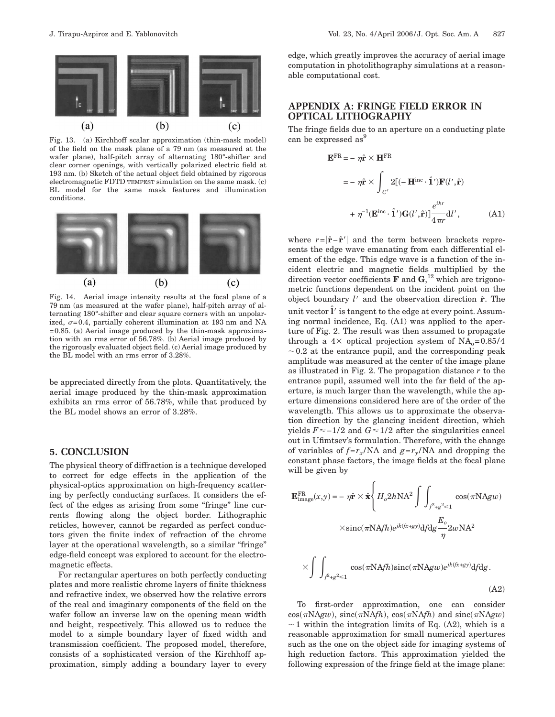Fig. 13. (a) Kirchhoff scalar approximation (thin-mask model) of the field on the mask plane of a 79 nm (as measured at the wafer plane), half-pitch array of alternating 180°-shifter and clear corner openings, with vertically polarized electric field at 193 nm. (b) Sketch of the actual object field obtained by rigorous electromagnetic FDTD TEMPEST simulation on the same mask. (c) BL model for the same mask features and illumination conditions.



Fig. 14. Aerial image intensity results at the focal plane of a 79 nm (as measured at the wafer plane), half-pitch array of alternating 180°-shifter and clear square corners with an unpolarized,  $\sigma$ =0.4, partially coherent illumination at 193 nm and NA =0.85. (a) Aerial image produced by the thin-mask approximation with an rms error of 56.78%. (b) Aerial image produced by the rigorously evaluated object field. (c) Aerial image produced by the BL model with an rms error of 3.28%.

be appreciated directly from the plots. Quantitatively, the aerial image produced by the thin-mask approximation exhibits an rms error of 56.78%, while that produced by the BL model shows an error of 3.28%.

## **5. CONCLUSION**

The physical theory of diffraction is a technique developed to correct for edge effects in the application of the physical-optics approximation on high-frequency scattering by perfectly conducting surfaces. It considers the effect of the edges as arising from some "fringe" line currents flowing along the object border. Lithographic reticles, however, cannot be regarded as perfect conductors given the finite index of refraction of the chrome layer at the operational wavelength, so a similar "fringe" edge-field concept was explored to account for the electromagnetic effects.

For rectangular apertures on both perfectly conducting plates and more realistic chrome layers of finite thickness and refractive index, we observed how the relative errors of the real and imaginary components of the field on the wafer follow an inverse law on the opening mean width and height, respectively. This allowed us to reduce the model to a simple boundary layer of fixed width and transmission coefficient. The proposed model, therefore, consists of a sophisticated version of the Kirchhoff approximation, simply adding a boundary layer to every

edge, which greatly improves the accuracy of aerial image computation in photolithography simulations at a reasonable computational cost.

## **APPENDIX A: FRINGE FIELD ERROR IN OPTICAL LITHOGRAPHY**

The fringe fields due to an aperture on a conducting plate can be expressed as<sup>9</sup>

$$
\mathbf{E}^{\text{FR}} = -\eta \hat{\mathbf{r}} \times \mathbf{H}^{\text{FR}}
$$
  
=  $-\eta \hat{\mathbf{r}} \times \int_{C'} 2[(-\mathbf{H}^{\text{inc}} \cdot \hat{\mathbf{1}}')\mathbf{F}(l', \hat{\mathbf{r}})$   
+  $\eta^{-1}(\mathbf{E}^{\text{inc}} \cdot \hat{\mathbf{1}}')\mathbf{G}(l', \hat{\mathbf{r}})]\frac{e^{ikr}}{4\pi r}d l',$  (A1)

where  $r = |\hat{\mathbf{r}} - \hat{\mathbf{r}}'|$  and the term between brackets represents the edge wave emanating from each differential element of the edge. This edge wave is a function of the incident electric and magnetic fields multiplied by the direction vector coefficients **F** and **G**, <sup>12</sup> which are trigonometric functions dependent on the incident point on the object boundary *l* and the observation direction **r**ˆ. The unit vector  $\hat{\mathbf{l}}'$  is tangent to the edge at every point. Assuming normal incidence, Eq. (A1) was applied to the aperture of Fig. 2. The result was then assumed to propagate through a  $4 \times$  optical projection system of NA<sub>0</sub>=0.85/4  $\sim$  0.2 at the entrance pupil, and the corresponding peak amplitude was measured at the center of the image plane as illustrated in Fig. 2. The propagation distance *r* to the entrance pupil, assumed well into the far field of the aperture, is much larger than the wavelength, while the aperture dimensions considered here are of the order of the wavelength. This allows us to approximate the observation direction by the glancing incident direction, which yields  $F \approx -1/2$  and  $G \approx 1/2$  after the singularities cancel out in Ufimtsev's formulation. Therefore, with the change of variables of  $f = r_x / NA$  and  $g = r_y / NA$  and dropping the constant phase factors, the image fields at the focal plane will be given by

$$
\mathbf{E}_{\text{image}}^{\text{FR}}(x, y) = -\eta \hat{\mathbf{r}} \times \hat{\mathbf{x}} \left\{ H_o 2h \text{NA}^2 \int \int_{\beta^2 + g^2 \le 1} \cos(\pi \text{NA} g w) \right.
$$

$$
\times \text{sinc}(\pi \text{NA} f h) e^{jk(fx+gy)} df dg \frac{E_o}{\eta} 2w \text{NA}^2
$$

$$
\times \int \int_{\beta^2 + g^2 \le 1} \cos(\pi \text{NA} f h) \text{sinc}(\pi \text{NA} g w) e^{jk(fx+gy)} df dg.
$$
(A2)

To first-order approximation, one can consider  $cos(\pi N\text{A}gw)$ ,  $sinc(\pi N\text{A}fh)$ ,  $cos(\pi N\text{A}fh)$  and  $sinc(\pi N\text{A}gw)$  $\sim$  1 within the integration limits of Eq. (A2), which is a reasonable approximation for small numerical apertures such as the one on the object side for imaging systems of high reduction factors. This approximation yielded the following expression of the fringe field at the image plane: